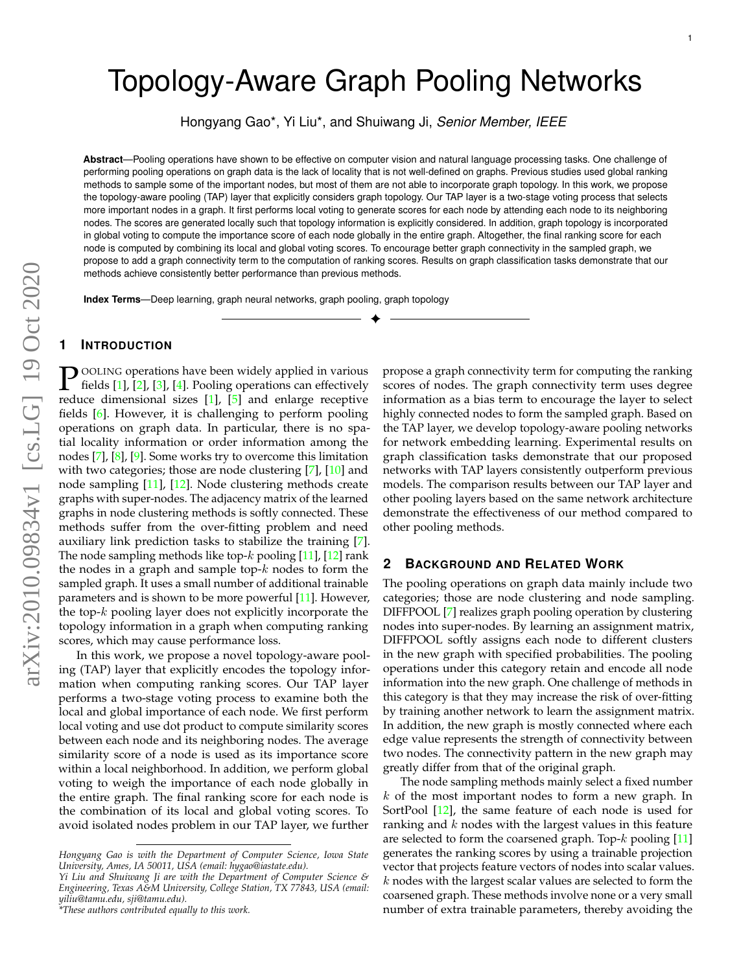# Topology-Aware Graph Pooling Networks

Hongyang Gao\*, Yi Liu\*, and Shuiwang Ji, *Senior Member, IEEE*

**Abstract**—Pooling operations have shown to be effective on computer vision and natural language processing tasks. One challenge of performing pooling operations on graph data is the lack of locality that is not well-defined on graphs. Previous studies used global ranking methods to sample some of the important nodes, but most of them are not able to incorporate graph topology. In this work, we propose the topology-aware pooling (TAP) layer that explicitly considers graph topology. Our TAP layer is a two-stage voting process that selects more important nodes in a graph. It first performs local voting to generate scores for each node by attending each node to its neighboring nodes. The scores are generated locally such that topology information is explicitly considered. In addition, graph topology is incorporated in global voting to compute the importance score of each node globally in the entire graph. Altogether, the final ranking score for each node is computed by combining its local and global voting scores. To encourage better graph connectivity in the sampled graph, we propose to add a graph connectivity term to the computation of ranking scores. Results on graph classification tasks demonstrate that our methods achieve consistently better performance than previous methods.

✦

**Index Terms**—Deep learning, graph neural networks, graph pooling, graph topology

## **1 INTRODUCTION**

**P** OOLING operations have been widely applied in various fields [\[1\]](#page-7-0), [2], [3], [4]. Pooling operations can effectively reduce dimensional sizes [1], [\[5\]](#page-7-4) and enlarge receptive OOLING operations have been widely applied in various fields [\[1\]](#page-7-0), [\[2\]](#page-7-1), [\[3\]](#page-7-2), [\[4\]](#page-7-3). Pooling operations can effectively fields [\[6\]](#page-7-5). However, it is challenging to perform pooling operations on graph data. In particular, there is no spatial locality information or order information among the nodes [\[7\]](#page-7-6), [\[8\]](#page-7-7), [\[9\]](#page-7-8). Some works try to overcome this limitation with two categories; those are node clustering [\[7\]](#page-7-6), [\[10\]](#page-7-9) and node sampling [\[11\]](#page-7-10), [\[12\]](#page-7-11). Node clustering methods create graphs with super-nodes. The adjacency matrix of the learned graphs in node clustering methods is softly connected. These methods suffer from the over-fitting problem and need auxiliary link prediction tasks to stabilize the training [\[7\]](#page-7-6). The node sampling methods like top- $k$  pooling [\[11\]](#page-7-10), [\[12\]](#page-7-11) rank the nodes in a graph and sample top- $k$  nodes to form the sampled graph. It uses a small number of additional trainable parameters and is shown to be more powerful [\[11\]](#page-7-10). However, the top-k pooling layer does not explicitly incorporate the topology information in a graph when computing ranking scores, which may cause performance loss.

In this work, we propose a novel topology-aware pooling (TAP) layer that explicitly encodes the topology information when computing ranking scores. Our TAP layer performs a two-stage voting process to examine both the local and global importance of each node. We first perform local voting and use dot product to compute similarity scores between each node and its neighboring nodes. The average similarity score of a node is used as its importance score within a local neighborhood. In addition, we perform global voting to weigh the importance of each node globally in the entire graph. The final ranking score for each node is the combination of its local and global voting scores. To avoid isolated nodes problem in our TAP layer, we further

propose a graph connectivity term for computing the ranking scores of nodes. The graph connectivity term uses degree information as a bias term to encourage the layer to select highly connected nodes to form the sampled graph. Based on the TAP layer, we develop topology-aware pooling networks for network embedding learning. Experimental results on graph classification tasks demonstrate that our proposed networks with TAP layers consistently outperform previous models. The comparison results between our TAP layer and other pooling layers based on the same network architecture demonstrate the effectiveness of our method compared to other pooling methods.

### **2 BACKGROUND AND RELATED WORK**

The pooling operations on graph data mainly include two categories; those are node clustering and node sampling. DIFFPOOL [\[7\]](#page-7-6) realizes graph pooling operation by clustering nodes into super-nodes. By learning an assignment matrix, DIFFPOOL softly assigns each node to different clusters in the new graph with specified probabilities. The pooling operations under this category retain and encode all node information into the new graph. One challenge of methods in this category is that they may increase the risk of over-fitting by training another network to learn the assignment matrix. In addition, the new graph is mostly connected where each edge value represents the strength of connectivity between two nodes. The connectivity pattern in the new graph may greatly differ from that of the original graph.

The node sampling methods mainly select a fixed number  $k$  of the most important nodes to form a new graph. In SortPool [\[12\]](#page-7-11), the same feature of each node is used for ranking and  $k$  nodes with the largest values in this feature are selected to form the coarsened graph. Top- $k$  pooling [\[11\]](#page-7-10) generates the ranking scores by using a trainable projection vector that projects feature vectors of nodes into scalar values.  $k$  nodes with the largest scalar values are selected to form the coarsened graph. These methods involve none or a very small number of extra trainable parameters, thereby avoiding the

*Hongyang Gao is with the Department of Computer Science, Iowa State University, Ames, IA 50011, USA (email: hygao@iastate.edu).*

*Yi Liu and Shuiwang Ji are with the Department of Computer Science & Engineering, Texas A&M University, College Station, TX 77843, USA (email: yiliu@tamu.edu, sji@tamu.edu).*

*<sup>\*</sup>These authors contributed equally to this work.*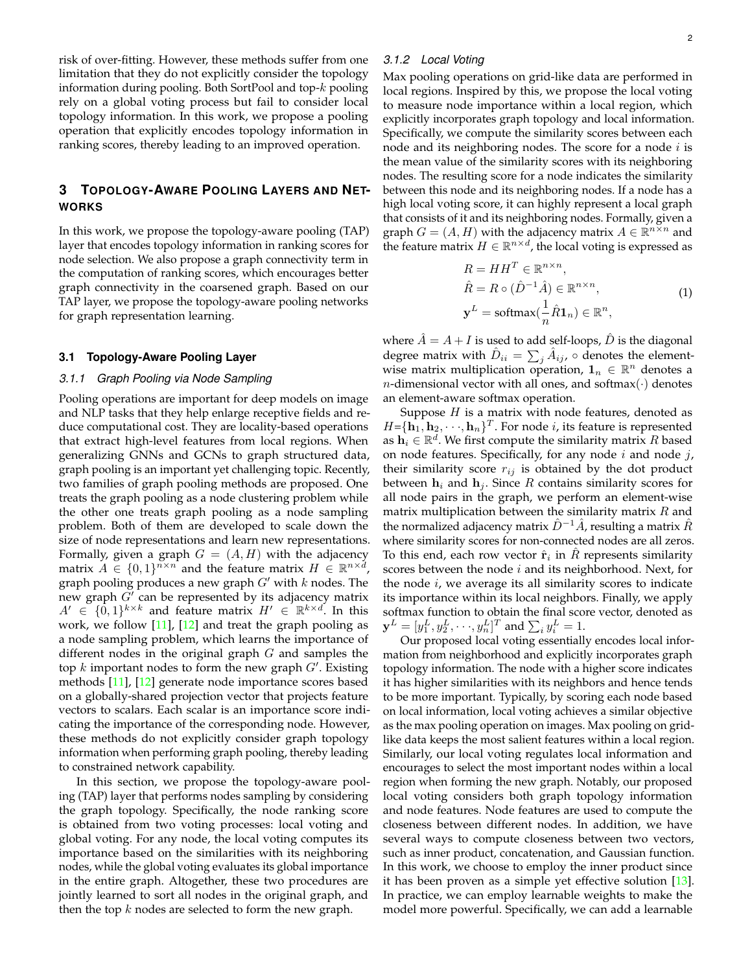risk of over-fitting. However, these methods suffer from one limitation that they do not explicitly consider the topology information during pooling. Both SortPool and top-k pooling rely on a global voting process but fail to consider local topology information. In this work, we propose a pooling operation that explicitly encodes topology information in ranking scores, thereby leading to an improved operation.

# **3 TOPOLOGY-AWARE POOLING LAYERS AND NET-WORKS**

In this work, we propose the topology-aware pooling (TAP) layer that encodes topology information in ranking scores for node selection. We also propose a graph connectivity term in the computation of ranking scores, which encourages better graph connectivity in the coarsened graph. Based on our TAP layer, we propose the topology-aware pooling networks for graph representation learning.

#### **3.1 Topology-Aware Pooling Layer**

### *3.1.1 Graph Pooling via Node Sampling*

Pooling operations are important for deep models on image and NLP tasks that they help enlarge receptive fields and reduce computational cost. They are locality-based operations that extract high-level features from local regions. When generalizing GNNs and GCNs to graph structured data, graph pooling is an important yet challenging topic. Recently, two families of graph pooling methods are proposed. One treats the graph pooling as a node clustering problem while the other one treats graph pooling as a node sampling problem. Both of them are developed to scale down the size of node representations and learn new representations. Formally, given a graph  $G = (A, H)$  with the adjacency matrix  $A \in \{0,1\}^{n \times n}$  and the feature matrix  $H \in \mathbb{R}^{n \times d}$ , graph pooling produces a new graph  $G'$  with k nodes. The new graph  $G'$  can be represented by its adjacency matrix  $A' \in \{0,1\}^{k \times k}$  and feature matrix  $H' \in \mathbb{R}^{k \times d}$ . In this work, we follow  $[11]$ ,  $[12]$  and treat the graph pooling as a node sampling problem, which learns the importance of different nodes in the original graph  $G$  and samples the top k important nodes to form the new graph  $G'$ . Existing methods [\[11\]](#page-7-10), [\[12\]](#page-7-11) generate node importance scores based on a globally-shared projection vector that projects feature vectors to scalars. Each scalar is an importance score indicating the importance of the corresponding node. However, these methods do not explicitly consider graph topology information when performing graph pooling, thereby leading to constrained network capability.

In this section, we propose the topology-aware pooling (TAP) layer that performs nodes sampling by considering the graph topology. Specifically, the node ranking score is obtained from two voting processes: local voting and global voting. For any node, the local voting computes its importance based on the similarities with its neighboring nodes, while the global voting evaluates its global importance in the entire graph. Altogether, these two procedures are jointly learned to sort all nodes in the original graph, and then the top  $k$  nodes are selected to form the new graph.

### *3.1.2 Local Voting*

Max pooling operations on grid-like data are performed in local regions. Inspired by this, we propose the local voting to measure node importance within a local region, which explicitly incorporates graph topology and local information. Specifically, we compute the similarity scores between each node and its neighboring nodes. The score for a node  $i$  is the mean value of the similarity scores with its neighboring nodes. The resulting score for a node indicates the similarity between this node and its neighboring nodes. If a node has a high local voting score, it can highly represent a local graph that consists of it and its neighboring nodes. Formally, given a graph  $G = (A, H)$  with the adjacency matrix  $A \in \mathbb{R}^{n \times n}$  and the feature matrix  $H \in \mathbb{R}^{n \times d}$ , the local voting is expressed as

<span id="page-1-0"></span>
$$
R = HH^T \in \mathbb{R}^{n \times n},
$$
  
\n
$$
\hat{R} = R \circ (\hat{D}^{-1}\hat{A}) \in \mathbb{R}^{n \times n},
$$
  
\n
$$
\mathbf{y}^L = \text{softmax}(\frac{1}{n}\hat{R}\mathbf{1}_n) \in \mathbb{R}^n,
$$
\n(1)

where  $\hat{A} = A + I$  is used to add self-loops,  $\hat{D}$  is the diagonal degree matrix with  $\hat{D}_{ii} = \sum_j \hat{A}_{ij}$ ,  $\circ$  denotes the elementwise matrix multiplication operation,  $\mathbf{1}_n \in \mathbb{R}^n$  denotes a *n*-dimensional vector with all ones, and softmax $(\cdot)$  denotes an element-aware softmax operation.

Suppose  $H$  is a matrix with node features, denoted as  $H = {\{\mathbf{h}_1, \mathbf{h}_2, \cdot\cdot\cdot, \mathbf{h}_n\}}^T$ . For node *i*, its feature is represented as  $\mathbf{h}_i \in \mathbb{R}^d$ . We first compute the similarity matrix  $R$  based on node features. Specifically, for any node  $i$  and node  $j$ , their similarity score  $r_{ij}$  is obtained by the dot product between  $h_i$  and  $h_j$ . Since R contains similarity scores for all node pairs in the graph, we perform an element-wise matrix multiplication between the similarity matrix  $R$  and the normalized adjacency matrix  $\hat{D}^{-1}\hat{A}$ , resulting a matrix  $\hat{R}$ where similarity scores for non-connected nodes are all zeros. To this end, each row vector  $\hat{\mathbf{r}}_i$  in  $\hat{R}$  represents similarity scores between the node  $i$  and its neighborhood. Next, for the node  $i$ , we average its all similarity scores to indicate its importance within its local neighbors. Finally, we apply softmax function to obtain the final score vector, denoted as  $\mathbf{y}^L = [y_1^L, y_2^L, \cdot\cdot\cdot, y_n^L]^T$  and  $\sum_i y_i^L = 1.$ 

Our proposed local voting essentially encodes local information from neighborhood and explicitly incorporates graph topology information. The node with a higher score indicates it has higher similarities with its neighbors and hence tends to be more important. Typically, by scoring each node based on local information, local voting achieves a similar objective as the max pooling operation on images. Max pooling on gridlike data keeps the most salient features within a local region. Similarly, our local voting regulates local information and encourages to select the most important nodes within a local region when forming the new graph. Notably, our proposed local voting considers both graph topology information and node features. Node features are used to compute the closeness between different nodes. In addition, we have several ways to compute closeness between two vectors, such as inner product, concatenation, and Gaussian function. In this work, we choose to employ the inner product since it has been proven as a simple yet effective solution [\[13\]](#page-7-12). In practice, we can employ learnable weights to make the model more powerful. Specifically, we can add a learnable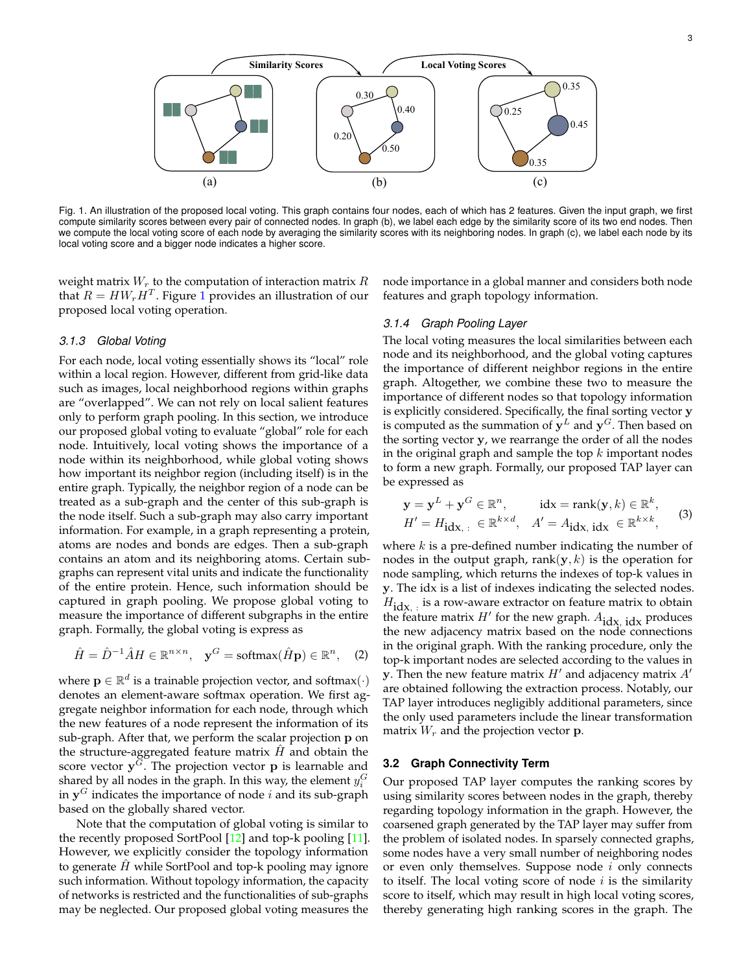

<span id="page-2-0"></span>Fig. 1. An illustration of the proposed local voting. This graph contains four nodes, each of which has 2 features. Given the input graph, we first compute similarity scores between every pair of connected nodes. In graph (b), we label each edge by the similarity score of its two end nodes. Then we compute the local voting score of each node by averaging the similarity scores with its neighboring nodes. In graph (c), we label each node by its local voting score and a bigger node indicates a higher score.

weight matrix  $W_r$  to the computation of interaction matrix  $R$ that  $R = H W_r H^T$ . Figure [1](#page-2-0) provides an illustration of our proposed local voting operation.

#### *3.1.3 Global Voting*

For each node, local voting essentially shows its "local" role within a local region. However, different from grid-like data such as images, local neighborhood regions within graphs are "overlapped". We can not rely on local salient features only to perform graph pooling. In this section, we introduce our proposed global voting to evaluate "global" role for each node. Intuitively, local voting shows the importance of a node within its neighborhood, while global voting shows how important its neighbor region (including itself) is in the entire graph. Typically, the neighbor region of a node can be treated as a sub-graph and the center of this sub-graph is the node itself. Such a sub-graph may also carry important information. For example, in a graph representing a protein, atoms are nodes and bonds are edges. Then a sub-graph contains an atom and its neighboring atoms. Certain subgraphs can represent vital units and indicate the functionality of the entire protein. Hence, such information should be captured in graph pooling. We propose global voting to measure the importance of different subgraphs in the entire graph. Formally, the global voting is express as

$$
\hat{H} = \hat{D}^{-1}\hat{A}H \in \mathbb{R}^{n \times n}, \quad \mathbf{y}^G = \text{softmax}(\hat{H}\mathbf{p}) \in \mathbb{R}^n, \quad (2)
$$

where  $\mathbf{p} \in \mathbb{R}^d$  is a trainable projection vector, and softmax $(\cdot)$ denotes an element-aware softmax operation. We first aggregate neighbor information for each node, through which the new features of a node represent the information of its sub-graph. After that, we perform the scalar projection p on the structure-aggregated feature matrix  $H$  and obtain the score vector  $y^{\tilde{G}}$ . The projection vector p is learnable and shared by all nodes in the graph. In this way, the element  $y_i^G$ in  $y^G$  indicates the importance of node i and its sub-graph based on the globally shared vector.

Note that the computation of global voting is similar to the recently proposed SortPool [\[12\]](#page-7-11) and top-k pooling [\[11\]](#page-7-10). However, we explicitly consider the topology information to generate  $H$  while SortPool and top-k pooling may ignore such information. Without topology information, the capacity of networks is restricted and the functionalities of sub-graphs may be neglected. Our proposed global voting measures the

node importance in a global manner and considers both node features and graph topology information.

### *3.1.4 Graph Pooling Layer*

The local voting measures the local similarities between each node and its neighborhood, and the global voting captures the importance of different neighbor regions in the entire graph. Altogether, we combine these two to measure the importance of different nodes so that topology information is explicitly considered. Specifically, the final sorting vector y is computed as the summation of  $y^L$  and  $y^G$ . Then based on the sorting vector y, we rearrange the order of all the nodes in the original graph and sample the top  $k$  important nodes to form a new graph. Formally, our proposed TAP layer can be expressed as

<span id="page-2-1"></span>
$$
\mathbf{y} = \mathbf{y}^{L} + \mathbf{y}^{G} \in \mathbb{R}^{n}, \quad \text{idx} = \text{rank}(\mathbf{y}, k) \in \mathbb{R}^{k},
$$
  
\n
$$
H' = H_{\text{idx},:} \in \mathbb{R}^{k \times d}, \quad A' = A_{\text{idx}, \text{idx}} \in \mathbb{R}^{k \times k},
$$
 (3)

where  $k$  is a pre-defined number indicating the number of nodes in the output graph, rank $(y, k)$  is the operation for node sampling, which returns the indexes of top-k values in y. The idx is a list of indexes indicating the selected nodes.  $H_{\text{idx},i}$  is a row-aware extractor on feature matrix to obtain the feature matrix  $H'$  for the new graph.  $A_{\text{id}x}$ ,  $\text{id}x$  produces the new adjacency matrix based on the node connections in the original graph. With the ranking procedure, only the top-k important nodes are selected according to the values in **y**. Then the new feature matrix  $H'$  and adjacency matrix  $A'$ are obtained following the extraction process. Notably, our TAP layer introduces negligibly additional parameters, since the only used parameters include the linear transformation matrix  $W_r$  and the projection vector **p**.

#### <span id="page-2-2"></span>**3.2 Graph Connectivity Term**

Our proposed TAP layer computes the ranking scores by using similarity scores between nodes in the graph, thereby regarding topology information in the graph. However, the coarsened graph generated by the TAP layer may suffer from the problem of isolated nodes. In sparsely connected graphs, some nodes have a very small number of neighboring nodes or even only themselves. Suppose node i only connects to itself. The local voting score of node  $i$  is the similarity score to itself, which may result in high local voting scores, thereby generating high ranking scores in the graph. The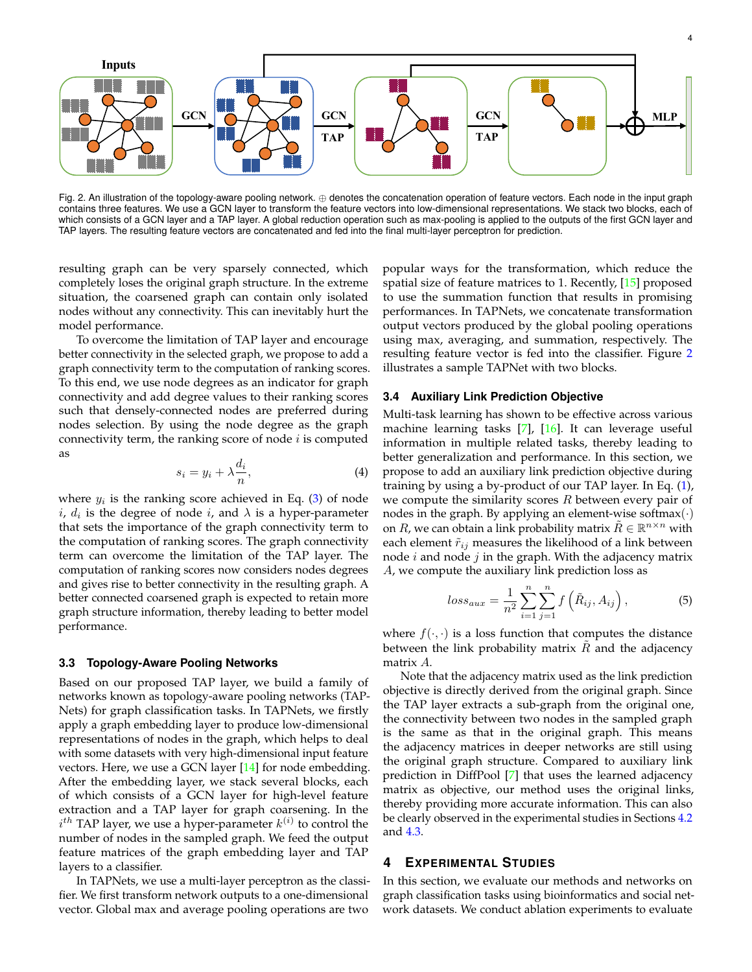<span id="page-3-0"></span>Fig. 2. An illustration of the topology-aware pooling network. ⊕ denotes the concatenation operation of feature vectors. Each node in the input graph contains three features. We use a GCN layer to transform the feature vectors into low-dimensional representations. We stack two blocks, each of which consists of a GCN layer and a TAP layer. A global reduction operation such as max-pooling is applied to the outputs of the first GCN layer and TAP layers. The resulting feature vectors are concatenated and fed into the final multi-layer perceptron for prediction.

resulting graph can be very sparsely connected, which completely loses the original graph structure. In the extreme situation, the coarsened graph can contain only isolated nodes without any connectivity. This can inevitably hurt the model performance.

To overcome the limitation of TAP layer and encourage better connectivity in the selected graph, we propose to add a graph connectivity term to the computation of ranking scores. To this end, we use node degrees as an indicator for graph connectivity and add degree values to their ranking scores such that densely-connected nodes are preferred during nodes selection. By using the node degree as the graph connectivity term, the ranking score of node  $i$  is computed as

$$
s_i = y_i + \lambda \frac{d_i}{n},\tag{4}
$$

where  $y_i$  is the ranking score achieved in Eq. [\(3\)](#page-2-1) of node  $i, d_i$  is the degree of node  $i$ , and  $\lambda$  is a hyper-parameter that sets the importance of the graph connectivity term to the computation of ranking scores. The graph connectivity term can overcome the limitation of the TAP layer. The computation of ranking scores now considers nodes degrees and gives rise to better connectivity in the resulting graph. A better connected coarsened graph is expected to retain more graph structure information, thereby leading to better model performance.

#### <span id="page-3-1"></span>**3.3 Topology-Aware Pooling Networks**

Based on our proposed TAP layer, we build a family of networks known as topology-aware pooling networks (TAP-Nets) for graph classification tasks. In TAPNets, we firstly apply a graph embedding layer to produce low-dimensional representations of nodes in the graph, which helps to deal with some datasets with very high-dimensional input feature vectors. Here, we use a GCN layer [\[14\]](#page-7-13) for node embedding. After the embedding layer, we stack several blocks, each of which consists of a GCN layer for high-level feature extraction and a TAP layer for graph coarsening. In the  $i^{th}$  TAP layer, we use a hyper-parameter  $k^{(i)}$  to control the number of nodes in the sampled graph. We feed the output feature matrices of the graph embedding layer and TAP layers to a classifier.

In TAPNets, we use a multi-layer perceptron as the classifier. We first transform network outputs to a one-dimensional vector. Global max and average pooling operations are two

popular ways for the transformation, which reduce the spatial size of feature matrices to 1. Recently, [\[15\]](#page-7-14) proposed to use the summation function that results in promising performances. In TAPNets, we concatenate transformation output vectors produced by the global pooling operations using max, averaging, and summation, respectively. The resulting feature vector is fed into the classifier. Figure [2](#page-3-0) illustrates a sample TAPNet with two blocks.

#### <span id="page-3-2"></span>**3.4 Auxiliary Link Prediction Objective**

Multi-task learning has shown to be effective across various machine learning tasks [\[7\]](#page-7-6), [\[16\]](#page-7-15). It can leverage useful information in multiple related tasks, thereby leading to better generalization and performance. In this section, we propose to add an auxiliary link prediction objective during training by using a by-product of our TAP layer. In Eq. [\(1\)](#page-1-0), we compute the similarity scores  $R$  between every pair of nodes in the graph. By applying an element-wise softmax $(\cdot)$ on  $R$ , we can obtain a link probability matrix  $\tilde{R} \in \mathbb{R}^{n \times n}$  with each element  $\tilde{r}_{ij}$  measures the likelihood of a link between node  $i$  and node  $j$  in the graph. With the adjacency matrix A, we compute the auxiliary link prediction loss as

$$
loss_{aux} = \frac{1}{n^2} \sum_{i=1}^{n} \sum_{j=1}^{n} f\left(\tilde{R}_{ij}, A_{ij}\right),
$$
 (5)

where  $f(\cdot, \cdot)$  is a loss function that computes the distance between the link probability matrix  $R$  and the adjacency matrix A.

Note that the adjacency matrix used as the link prediction objective is directly derived from the original graph. Since the TAP layer extracts a sub-graph from the original one, the connectivity between two nodes in the sampled graph is the same as that in the original graph. This means the adjacency matrices in deeper networks are still using the original graph structure. Compared to auxiliary link prediction in DiffPool [\[7\]](#page-7-6) that uses the learned adjacency matrix as objective, our method uses the original links, thereby providing more accurate information. This can also be clearly observed in the experimental studies in Sections [4.2](#page-4-0) and [4.3.](#page-5-0)

## **4 EXPERIMENTAL STUDIES**

In this section, we evaluate our methods and networks on graph classification tasks using bioinformatics and social network datasets. We conduct ablation experiments to evaluate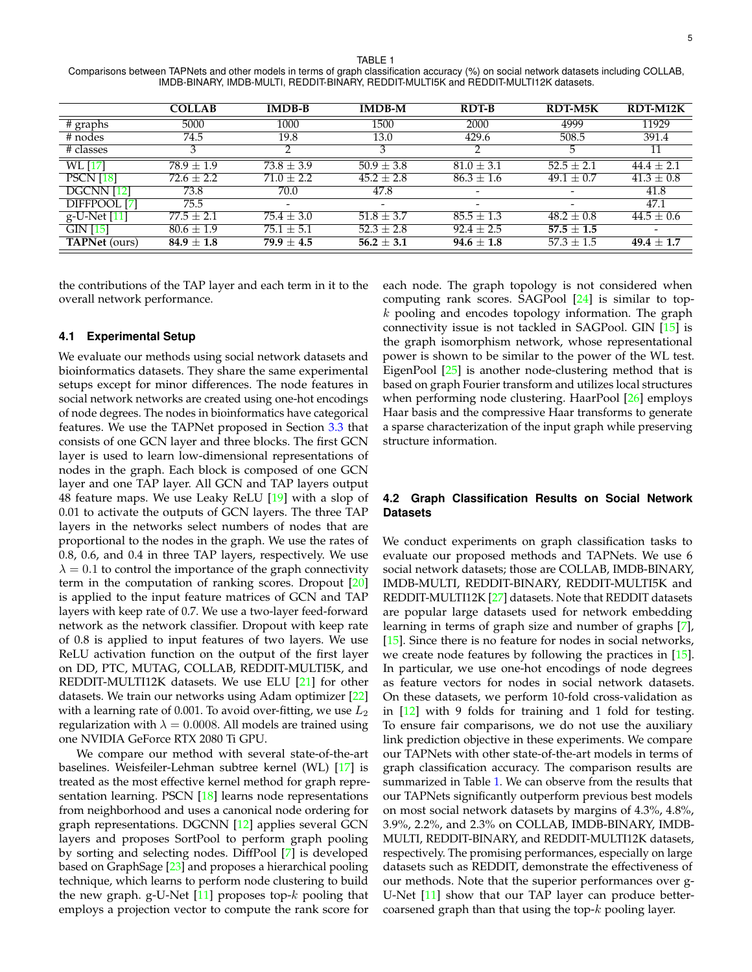<span id="page-4-1"></span>TABLE 1 Comparisons between TAPNets and other models in terms of graph classification accuracy (%) on social network datasets including COLLAB, IMDB-BINARY, IMDB-MULTI, REDDIT-BINARY, REDDIT-MULTI5K and REDDIT-MULTI12K datasets.

|                      | <b>COLLAB</b>  | <b>IMDB-B</b>            | <b>IMDB-M</b>            | RDT-B                    | <b>RDT-M5K</b> | RDT-M12K       |
|----------------------|----------------|--------------------------|--------------------------|--------------------------|----------------|----------------|
| $#$ graphs           | 5000           | 1000                     | 1500                     | 2000                     | 4999           | 11929          |
| # nodes              | 74.5           | 19.8                     | 13.0                     | 429.6                    | 508.5          | 391.4          |
| # classes            |                |                          | 3                        |                          | $\mathcal{L}$  | 11             |
| <b>WL</b> [17]       | $78.9 \pm 1.9$ | $73.8 \pm 3.9$           | $50.9 \pm 3.8$           | $81.0 \pm 3.1$           | $52.5 + 2.1$   | $44.4 + 2.1$   |
| <b>PSCN</b> [18]     | $72.6 \pm 2.2$ | $71.0 + 2.2$             | $45.2 \pm 2.8$           | $86.3 \pm 1.6$           | $49.1 \pm 0.7$ | $41.3 \pm 0.8$ |
| DGCNN [12]           | 73.8           | 70.0                     | 47.8                     |                          |                | 41.8           |
| DIFFPOOL [7]         | 75.5           | $\overline{\phantom{0}}$ | $\overline{\phantom{a}}$ | $\overline{\phantom{0}}$ |                | 47.1           |
| g-U-Net [11]         | $77.5 + 2.1$   | $75.4 \pm 3.0$           | $51.8 \pm 3.7$           | $85.5 + 1.3$             | $48.2 + 0.8$   | $44.5 \pm 0.6$ |
| <b>GIN [15]</b>      | $80.6 \pm 1.9$ | $75.1 \pm 5.1$           | $52.3 \pm 2.8$           | $92.4 \pm 2.5$           | $57.5 \pm 1.5$ |                |
| <b>TAPNet</b> (ours) | $84.9 \pm 1.8$ | $79.9 \pm 4.5$           | $56.2 \pm 3.1$           | $94.6 \pm 1.8$           | $57.3 \pm 1.5$ | $49.4 \pm 1.7$ |

the contributions of the TAP layer and each term in it to the overall network performance.

#### **4.1 Experimental Setup**

We evaluate our methods using social network datasets and bioinformatics datasets. They share the same experimental setups except for minor differences. The node features in social network networks are created using one-hot encodings of node degrees. The nodes in bioinformatics have categorical features. We use the TAPNet proposed in Section [3.3](#page-3-1) that consists of one GCN layer and three blocks. The first GCN layer is used to learn low-dimensional representations of nodes in the graph. Each block is composed of one GCN layer and one TAP layer. All GCN and TAP layers output 48 feature maps. We use Leaky ReLU [\[19\]](#page-7-18) with a slop of 0.01 to activate the outputs of GCN layers. The three TAP layers in the networks select numbers of nodes that are proportional to the nodes in the graph. We use the rates of 0.8, 0.6, and 0.4 in three TAP layers, respectively. We use  $\lambda = 0.1$  to control the importance of the graph connectivity term in the computation of ranking scores. Dropout [\[20\]](#page-7-19) is applied to the input feature matrices of GCN and TAP layers with keep rate of 0.7. We use a two-layer feed-forward network as the network classifier. Dropout with keep rate of 0.8 is applied to input features of two layers. We use ReLU activation function on the output of the first layer on DD, PTC, MUTAG, COLLAB, REDDIT-MULTI5K, and REDDIT-MULTI12K datasets. We use ELU  $[21]$  for other datasets. We train our networks using Adam optimizer [\[22\]](#page-7-21) with a learning rate of 0.001. To avoid over-fitting, we use  $L_2$ regularization with  $\lambda = 0.0008$ . All models are trained using one NVIDIA GeForce RTX 2080 Ti GPU.

We compare our method with several state-of-the-art baselines. Weisfeiler-Lehman subtree kernel (WL) [\[17\]](#page-7-16) is treated as the most effective kernel method for graph repre-sentation learning. PSCN [\[18\]](#page-7-17) learns node representations from neighborhood and uses a canonical node ordering for graph representations. DGCNN [\[12\]](#page-7-11) applies several GCN layers and proposes SortPool to perform graph pooling by sorting and selecting nodes. DiffPool [\[7\]](#page-7-6) is developed based on GraphSage [\[23\]](#page-7-22) and proposes a hierarchical pooling technique, which learns to perform node clustering to build the new graph. g-U-Net  $[11]$  proposes top- $k$  pooling that employs a projection vector to compute the rank score for

each node. The graph topology is not considered when computing rank scores. SAGPool [\[24\]](#page-7-23) is similar to top $k$  pooling and encodes topology information. The graph connectivity issue is not tackled in SAGPool. GIN [\[15\]](#page-7-14) is the graph isomorphism network, whose representational power is shown to be similar to the power of the WL test. EigenPool [\[25\]](#page-7-24) is another node-clustering method that is based on graph Fourier transform and utilizes local structures when performing node clustering. HaarPool [\[26\]](#page-7-25) employs Haar basis and the compressive Haar transforms to generate a sparse characterization of the input graph while preserving structure information.

# <span id="page-4-0"></span>**4.2 Graph Classification Results on Social Network Datasets**

We conduct experiments on graph classification tasks to evaluate our proposed methods and TAPNets. We use 6 social network datasets; those are COLLAB, IMDB-BINARY, IMDB-MULTI, REDDIT-BINARY, REDDIT-MULTI5K and REDDIT-MULTI12K [\[27\]](#page-7-26) datasets. Note that REDDIT datasets are popular large datasets used for network embedding learning in terms of graph size and number of graphs [\[7\]](#page-7-6), [\[15\]](#page-7-14). Since there is no feature for nodes in social networks, we create node features by following the practices in [\[15\]](#page-7-14). In particular, we use one-hot encodings of node degrees as feature vectors for nodes in social network datasets. On these datasets, we perform 10-fold cross-validation as in [\[12\]](#page-7-11) with 9 folds for training and 1 fold for testing. To ensure fair comparisons, we do not use the auxiliary link prediction objective in these experiments. We compare our TAPNets with other state-of-the-art models in terms of graph classification accuracy. The comparison results are summarized in Table [1.](#page-4-1) We can observe from the results that our TAPNets significantly outperform previous best models on most social network datasets by margins of 4.3%, 4.8%, 3.9%, 2.2%, and 2.3% on COLLAB, IMDB-BINARY, IMDB-MULTI, REDDIT-BINARY, and REDDIT-MULTI12K datasets, respectively. The promising performances, especially on large datasets such as REDDIT, demonstrate the effectiveness of our methods. Note that the superior performances over g-U-Net [\[11\]](#page-7-10) show that our TAP layer can produce bettercoarsened graph than that using the top- $k$  pooling layer.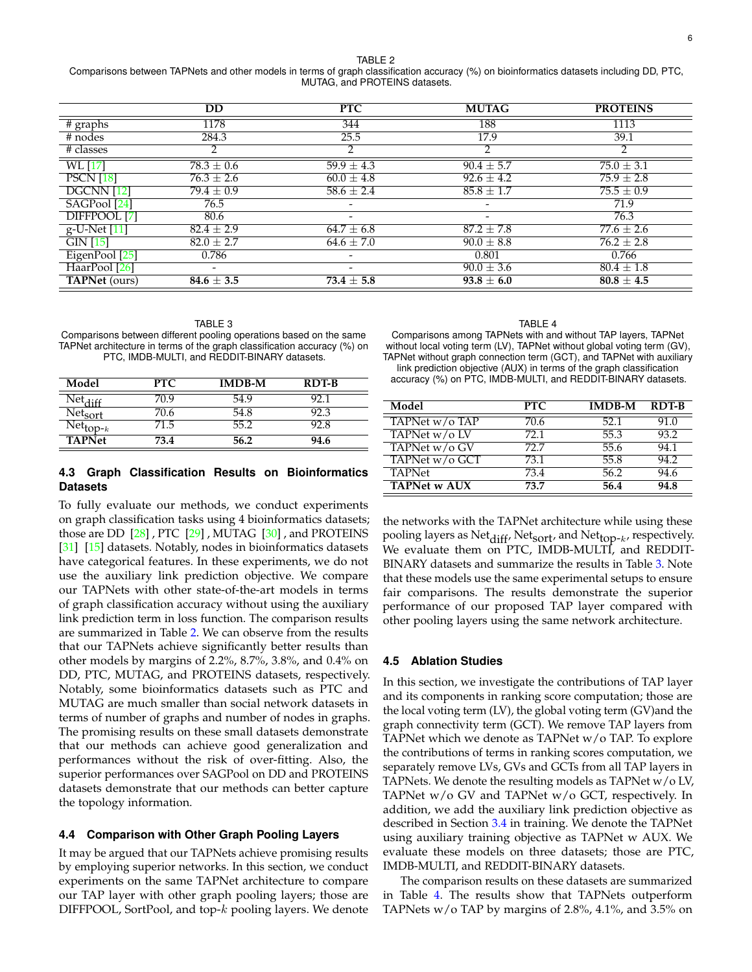#### TABLE 2

<span id="page-5-1"></span>Comparisons between TAPNets and other models in terms of graph classification accuracy (%) on bioinformatics datasets including DD, PTC, MUTAG, and PROTEINS datasets.

|                           | <b>DD</b>                | <b>PTC</b>                   | <b>MUTAG</b>             | <b>PROTEINS</b> |
|---------------------------|--------------------------|------------------------------|--------------------------|-----------------|
| $#$ graphs                | 1178                     | 344                          | 188                      | 1113            |
| # nodes                   | 284.3                    | 25.5                         | 17.9                     | 39.1            |
| # classes                 | 2                        | 2                            | C                        | ◠               |
| WL [17]                   | $78.3 \pm 0.6$           | $59.9 \pm 4.3$               | $90.4 \pm 5.7$           | $75.0 \pm 3.1$  |
| <b>PSCN</b> [18]          | $76.3 \pm 2.6$           | $60.0 \pm 4.8$               | $92.6 \pm 4.2$           | $75.9 \pm 2.8$  |
| DGCNN [12]                | $79.4 \pm 0.9$           | $58.6 \pm 2.4$               | $85.8 \pm 1.7$           | $75.5 \pm 0.9$  |
| SAGPool [24]              | 76.5                     | $\overline{\phantom{a}}$     | $\overline{\phantom{a}}$ | 71.9            |
| DIFFPOOL [7]              | 80.6                     | $\qquad \qquad \blacksquare$ |                          | 76.3            |
| $g-U-Net$ [11]            | $82.4 \pm 2.9$           | $64.7 \pm 6.8$               | $87.2 \pm 7.8$           | $77.6 \pm 2.6$  |
| $\overline{GIN[15]}$      | $82.0 \pm 2.7$           | $64.6 \pm 7.0$               | $90.0 \pm 8.8$           | $76.2 \pm 2.8$  |
| EigenPool <sup>[25]</sup> | 0.786                    | $\qquad \qquad \blacksquare$ | 0.801                    | 0.766           |
| HaarPool [26]             | $\overline{\phantom{0}}$ | $\qquad \qquad \blacksquare$ | $90.0 \pm 3.6$           | $80.4 \pm 1.8$  |
| <b>TAPNet</b> (ours)      | $84.6 \pm 3.5$           | $73.4 \pm 5.8$               | $93.8 \pm 6.0$           | $80.8 \pm 4.5$  |

<span id="page-5-2"></span>

| TABLE 3                                                                  |
|--------------------------------------------------------------------------|
| Comparisons between different pooling operations based on the same       |
| TAPNet architecture in terms of the graph classification accuracy (%) on |
| PTC. IMDB-MULTI, and REDDIT-BINARY datasets.                             |

| Model                                 | PTC. | <b>IMDB-M</b> | <b>RDT-B</b> |
|---------------------------------------|------|---------------|--------------|
| Net.<br>$\mathsf{diff}$               | 70.9 | 54.9          | 92 1         |
| Net <sub>sort</sub>                   | 70.6 | 54.8          | 92.3         |
| $\bar{\mathrm{Net}}_{\mathrm{top-}k}$ | 71.5 | 55.2          | 92.8         |
| <b>TAPNet</b>                         | 73.4 | 56.2          | 94.6         |

# <span id="page-5-0"></span>**4.3 Graph Classification Results on Bioinformatics Datasets**

To fully evaluate our methods, we conduct experiments on graph classification tasks using 4 bioinformatics datasets; those are DD  $[28]$ , PTC  $[29]$ , MUTAG  $[30]$ , and PROTEINS [\[31\]](#page-7-30) [\[15\]](#page-7-14) datasets. Notably, nodes in bioinformatics datasets have categorical features. In these experiments, we do not use the auxiliary link prediction objective. We compare our TAPNets with other state-of-the-art models in terms of graph classification accuracy without using the auxiliary link prediction term in loss function. The comparison results are summarized in Table [2.](#page-5-1) We can observe from the results that our TAPNets achieve significantly better results than other models by margins of 2.2%, 8.7%, 3.8%, and 0.4% on DD, PTC, MUTAG, and PROTEINS datasets, respectively. Notably, some bioinformatics datasets such as PTC and MUTAG are much smaller than social network datasets in terms of number of graphs and number of nodes in graphs. The promising results on these small datasets demonstrate that our methods can achieve good generalization and performances without the risk of over-fitting. Also, the superior performances over SAGPool on DD and PROTEINS datasets demonstrate that our methods can better capture the topology information.

#### **4.4 Comparison with Other Graph Pooling Layers**

It may be argued that our TAPNets achieve promising results by employing superior networks. In this section, we conduct experiments on the same TAPNet architecture to compare our TAP layer with other graph pooling layers; those are DIFFPOOL, SortPool, and top-k pooling layers. We denote

#### TABLE 4

<span id="page-5-3"></span>Comparisons among TAPNets with and without TAP layers, TAPNet without local voting term (LV), TAPNet without global voting term (GV), TAPNet without graph connection term (GCT), and TAPNet with auxiliary link prediction objective (AUX) in terms of the graph classification

accuracy (%) on PTC, IMDB-MULTI, and REDDIT-BINARY datasets.

| Model               | <b>PTC</b> | <b>IMDB-M</b> | $RDT-B$ |
|---------------------|------------|---------------|---------|
| TAPNet w/o TAP      | 70.6       | 52.1          | 91.0    |
| TAPNet w/o LV       | 72.1       | 55.3          | 93.2    |
| TAPNet w/o GV       | 72.7       | 55.6          | 94.1    |
| TAPNet w/o GCT      | 73.1       | 55.8          | 94.2    |
| <b>TAPNet</b>       | 73.4       | 56.2          | 94.6    |
| <b>TAPNet w AUX</b> | 73.7       | 56.4          | 94.8    |

the networks with the TAPNet architecture while using these pooling layers as  $Net_{diff}$ ,  $Net_{sort}$ , and  $Net_{top-k}$ , respectively. We evaluate them on PTC, IMDB-MULTI, and REDDIT-BINARY datasets and summarize the results in Table [3.](#page-5-2) Note that these models use the same experimental setups to ensure fair comparisons. The results demonstrate the superior performance of our proposed TAP layer compared with other pooling layers using the same network architecture.

#### **4.5 Ablation Studies**

In this section, we investigate the contributions of TAP layer and its components in ranking score computation; those are the local voting term (LV), the global voting term (GV)and the graph connectivity term (GCT). We remove TAP layers from TAPNet which we denote as TAPNet w/o TAP. To explore the contributions of terms in ranking scores computation, we separately remove LVs, GVs and GCTs from all TAP layers in TAPNets. We denote the resulting models as TAPNet w/o LV, TAPNet w/o GV and TAPNet w/o GCT, respectively. In addition, we add the auxiliary link prediction objective as described in Section [3.4](#page-3-2) in training. We denote the TAPNet using auxiliary training objective as TAPNet w AUX. We evaluate these models on three datasets; those are PTC, IMDB-MULTI, and REDDIT-BINARY datasets.

The comparison results on these datasets are summarized in Table [4.](#page-5-3) The results show that TAPNets outperform TAPNets w/o TAP by margins of 2.8%, 4.1%, and 3.5% on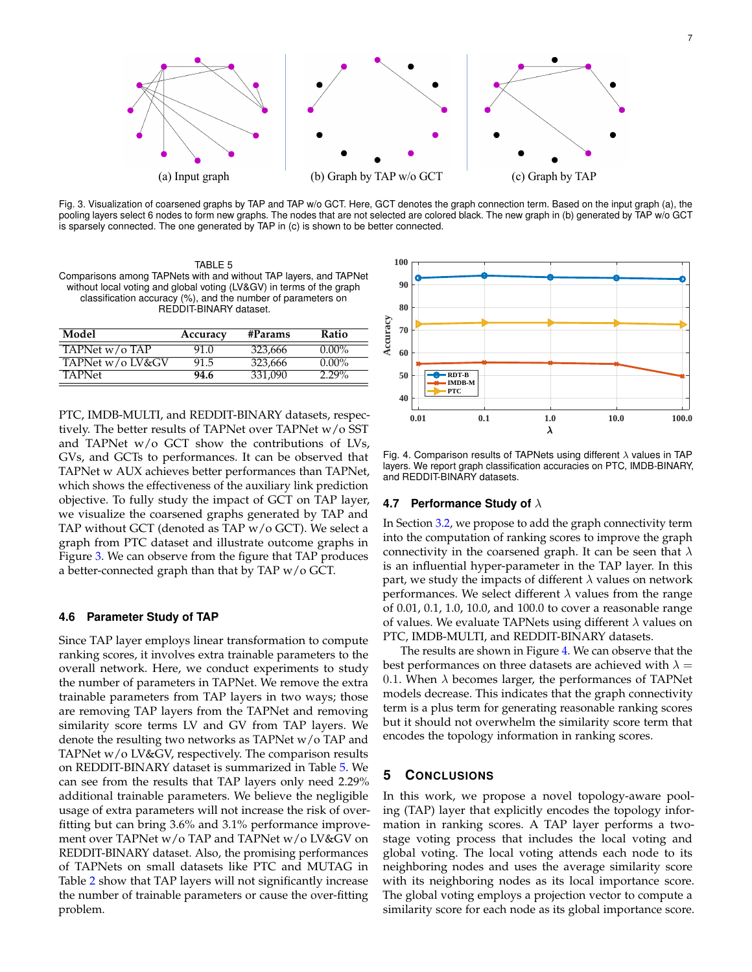

<span id="page-6-0"></span>Fig. 3. Visualization of coarsened graphs by TAP and TAP w/o GCT. Here, GCT denotes the graph connection term. Based on the input graph (a), the pooling layers select 6 nodes to form new graphs. The nodes that are not selected are colored black. The new graph in (b) generated by TAP w/o GCT is sparsely connected. The one generated by TAP in (c) is shown to be better connected.

<span id="page-6-1"></span>TABLE 5 Comparisons among TAPNets with and without TAP layers, and TAPNet without local voting and global voting (LV&GV) in terms of the graph classification accuracy (%), and the number of parameters on REDDIT-BINARY dataset.

| Model            | Accuracy | #Params | Ratio    |
|------------------|----------|---------|----------|
| TAPNet w/o TAP   | 91.0     | 323.666 | $0.00\%$ |
| TAPNet w/o LV&GV | 91.5     | 323.666 | $0.00\%$ |
| <b>TAPNet</b>    | 94.6     | 331.090 | $2.29\%$ |

PTC, IMDB-MULTI, and REDDIT-BINARY datasets, respectively. The better results of TAPNet over TAPNet w/o SST and TAPNet w/o GCT show the contributions of LVs, GVs, and GCTs to performances. It can be observed that TAPNet w AUX achieves better performances than TAPNet, which shows the effectiveness of the auxiliary link prediction objective. To fully study the impact of GCT on TAP layer, we visualize the coarsened graphs generated by TAP and TAP without GCT (denoted as TAP w/o GCT). We select a graph from PTC dataset and illustrate outcome graphs in Figure [3.](#page-6-0) We can observe from the figure that TAP produces a better-connected graph than that by TAP w/o GCT.

#### **4.6 Parameter Study of TAP**

Since TAP layer employs linear transformation to compute ranking scores, it involves extra trainable parameters to the overall network. Here, we conduct experiments to study the number of parameters in TAPNet. We remove the extra trainable parameters from TAP layers in two ways; those are removing TAP layers from the TAPNet and removing similarity score terms LV and GV from TAP layers. We denote the resulting two networks as TAPNet w/o TAP and TAPNet w/o LV&GV, respectively. The comparison results on REDDIT-BINARY dataset is summarized in Table [5.](#page-6-1) We can see from the results that TAP layers only need 2.29% additional trainable parameters. We believe the negligible usage of extra parameters will not increase the risk of overfitting but can bring 3.6% and 3.1% performance improvement over TAPNet w/o TAP and TAPNet w/o LV&GV on REDDIT-BINARY dataset. Also, the promising performances of TAPNets on small datasets like PTC and MUTAG in Table [2](#page-5-1) show that TAP layers will not significantly increase the number of trainable parameters or cause the over-fitting problem.



<span id="page-6-2"></span>Fig. 4. Comparison results of TAPNets using different  $\lambda$  values in TAP layers. We report graph classification accuracies on PTC, IMDB-BINARY, and REDDIT-BINARY datasets.

### **4.7 Performance Study of** λ

In Section [3.2,](#page-2-2) we propose to add the graph connectivity term into the computation of ranking scores to improve the graph connectivity in the coarsened graph. It can be seen that  $\lambda$ is an influential hyper-parameter in the TAP layer. In this part, we study the impacts of different  $\lambda$  values on network performances. We select different  $\lambda$  values from the range of 0.01, 0.1, 1.0, 10.0, and 100.0 to cover a reasonable range of values. We evaluate TAPNets using different  $\lambda$  values on PTC, IMDB-MULTI, and REDDIT-BINARY datasets.

The results are shown in Figure [4.](#page-6-2) We can observe that the best performances on three datasets are achieved with  $\lambda =$ 0.1. When  $\lambda$  becomes larger, the performances of TAPNet models decrease. This indicates that the graph connectivity term is a plus term for generating reasonable ranking scores but it should not overwhelm the similarity score term that encodes the topology information in ranking scores.

# **5 CONCLUSIONS**

In this work, we propose a novel topology-aware pooling (TAP) layer that explicitly encodes the topology information in ranking scores. A TAP layer performs a twostage voting process that includes the local voting and global voting. The local voting attends each node to its neighboring nodes and uses the average similarity score with its neighboring nodes as its local importance score. The global voting employs a projection vector to compute a similarity score for each node as its global importance score.